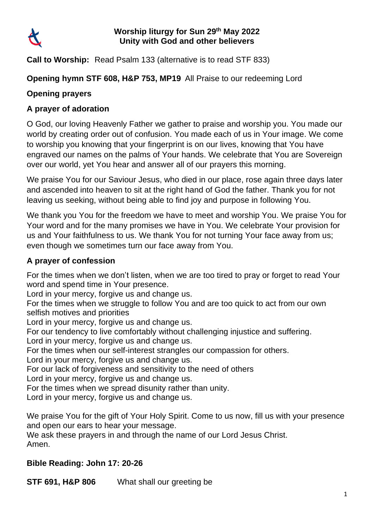

#### **Worship liturgy for Sun 29th May 2022 Unity with God and other believers**

**Call to Worship:** Read Psalm 133 (alternative is to read STF 833)

## **Opening hymn STF 608, H&P 753, MP19** All Praise to our redeeming Lord

# **Opening prayers**

## **[A prayer of adoration](about:blank)**

O God, our loving Heavenly Father we gather to praise and worship you. You made our world by creating order out of confusion. You made each of us in Your image. We come to worship you knowing that your fingerprint is on our lives, knowing that You have engraved our names on the palms of Your hands. We celebrate that You are Sovereign over our world, yet You hear and answer all of our prayers this morning.

We praise You for our Saviour Jesus, who died in our place, rose again three days later and ascended into heaven to sit at the right hand of God the father. Thank you for not leaving us seeking, without being able to find joy and purpose in following You.

We thank you You for the freedom we have to meet and worship You. We praise You for Your word and for the many promises we have in You. We celebrate Your provision for us and Your faithfulness to us. We thank You for not turning Your face away from us; even though we sometimes turn our face away from You.

#### **A prayer of confession**

For the times when we don't listen, when we are too tired to pray or forget to read Your word and spend time in Your presence.

Lord in your mercy, forgive us and change us.

For the times when we struggle to follow You and are too quick to act from our own selfish motives and priorities

Lord in your mercy, forgive us and change us.

For our tendency to live comfortably without challenging injustice and suffering.

Lord in your mercy, forgive us and change us.

For the times when our self-interest strangles our compassion for others.

Lord in your mercy, forgive us and change us.

For our lack of forgiveness and sensitivity to the need of others

Lord in your mercy, forgive us and change us.

For the times when we spread disunity rather than unity.

Lord in your mercy, forgive us and change us.

We praise You for the gift of Your Holy Spirit. Come to us now, fill us with your presence and open our ears to hear your message.

We ask these prayers in and through the name of our Lord Jesus Christ. Amen.

# **Bible Reading: John 17: 20-26**

**STF 691, H&P 806** What shall our greeting be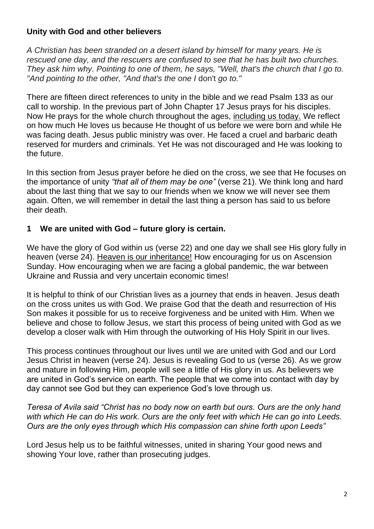## **Unity with God and other believers**

*A Christian has been stranded on a desert island by himself for many years. He is rescued one day, and the rescuers are confused to see that he has built two churches. They ask him why. Pointing to one of them, he says, "Well, that's the church that I go to. "And pointing to the other, "And that's the one I* don't *go to."*

There are fifteen direct references to unity in the bible and we read Psalm 133 as our call to worship. In the previous part of John Chapter 17 Jesus prays for his disciples. Now He prays for the whole church throughout the ages, including us today. We reflect on how much He loves us because He thought of us before we were born and while He was facing death. Jesus public ministry was over. He faced a cruel and barbaric death reserved for murders and criminals. Yet He was not discouraged and He was looking to the future.

In this section from Jesus prayer before he died on the cross, we see that He focuses on the importance of unity *"that all of them may be one"* (verse 21). We think long and hard about the last thing that we say to our friends when we know we will never see them again. Often, we will remember in detail the last thing a person has said to us before their death.

### **1 We are united with God – future glory is certain.**

We have the glory of God within us (verse 22) and one day we shall see His glory fully in heaven (verse 24). Heaven is our inheritance! How encouraging for us on Ascension Sunday. How encouraging when we are facing a global pandemic, the war between Ukraine and Russia and very uncertain economic times!

It is helpful to think of our Christian lives as a journey that ends in heaven. Jesus death on the cross unites us with God. We praise God that the death and resurrection of His Son makes it possible for us to receive forgiveness and be united with Him. When we believe and chose to follow Jesus, we start this process of being united with God as we develop a closer walk with Him through the outworking of His Holy Spirit in our lives.

This process continues throughout our lives until we are united with God and our Lord Jesus Christ in heaven (verse 24). Jesus is revealing God to us (verse 26). As we grow and mature in following Him, people will see a little of His glory in us. As believers we are united in God's service on earth. The people that we come into contact with day by day cannot see God but they can experience God's love through us.

*Teresa of Avila said "Christ has no body now on earth but ours. Ours are the only hand with which He can do His work. Ours are the only feet with which He can go into Leeds. Ours are the only eyes through which His compassion can shine forth upon Leeds"* 

Lord Jesus help us to be faithful witnesses, united in sharing Your good news and showing Your love, rather than prosecuting judges.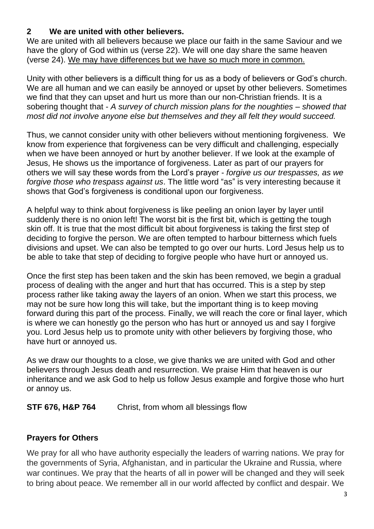# **2 We are united with other believers.**

We are united with all believers because we place our faith in the same Saviour and we have the glory of God within us (verse 22). We will one day share the same heaven (verse 24). We may have differences but we have so much more in common.

Unity with other believers is a difficult thing for us as a body of believers or God's church. We are all human and we can easily be annoyed or upset by other believers. Sometimes we find that they can upset and hurt us more than our non-Christian friends. It is a sobering thought that - *A survey of church mission plans for the noughties – showed that most did not involve anyone else but themselves and they all felt they would succeed.*

Thus, we cannot consider unity with other believers without mentioning forgiveness. We know from experience that forgiveness can be very difficult and challenging, especially when we have been annoyed or hurt by another believer. If we look at the example of Jesus, He shows us the importance of forgiveness. Later as part of our prayers for others we will say these words from the Lord's prayer - *forgive us our trespasses, as we forgive those who trespass against us*. The little word "as" is very interesting because it shows that God's forgiveness is conditional upon our forgiveness.

A helpful way to think about forgiveness is like peeling an onion layer by layer until suddenly there is no onion left! The worst bit is the first bit, which is getting the tough skin off. It is true that the most difficult bit about forgiveness is taking the first step of deciding to forgive the person. We are often tempted to harbour bitterness which fuels divisions and upset. We can also be tempted to go over our hurts. Lord Jesus help us to be able to take that step of deciding to forgive people who have hurt or annoyed us.

Once the first step has been taken and the skin has been removed, we begin a gradual process of dealing with the anger and hurt that has occurred. This is a step by step process rather like taking away the layers of an onion. When we start this process, we may not be sure how long this will take, but the important thing is to keep moving forward during this part of the process. Finally, we will reach the core or final layer, which is where we can honestly go the person who has hurt or annoyed us and say I forgive you. Lord Jesus help us to promote unity with other believers by forgiving those, who have hurt or annoyed us.

As we draw our thoughts to a close, we give thanks we are united with God and other believers through Jesus death and resurrection. We praise Him that heaven is our inheritance and we ask God to help us follow Jesus example and forgive those who hurt or annoy us.

**STF 676, H&P 764** Christ, from whom all blessings flow

# **Prayers for Others**

We pray for all who have authority especially the leaders of warring nations. We pray for the governments of Syria, Afghanistan, and in particular the Ukraine and Russia, where war continues. We pray that the hearts of all in power will be changed and they will seek to bring about peace. We remember all in our world affected by conflict and despair. We